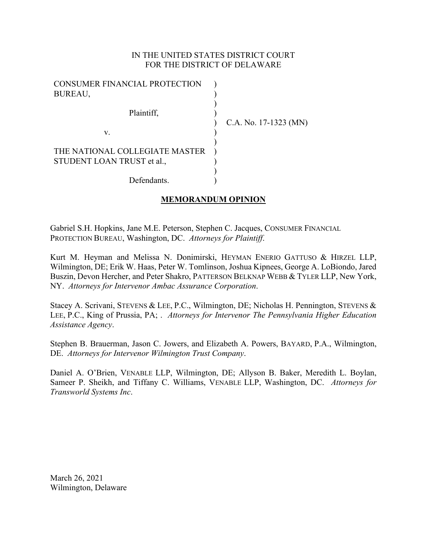## IN THE UNITED STATES DISTRICT COURT FOR THE DISTRICT OF DELAWARE

| CONSUMER FINANCIAL PROTECTION  |                         |
|--------------------------------|-------------------------|
| BUREAU,                        |                         |
|                                |                         |
| Plaintiff,                     |                         |
|                                | C.A. No. $17-1323$ (MN) |
| v.                             |                         |
|                                |                         |
| THE NATIONAL COLLEGIATE MASTER |                         |
| STUDENT LOAN TRUST et al.,     |                         |
|                                |                         |
| Defendants.                    |                         |

# **MEMORANDUM OPINION**

Gabriel S.H. Hopkins, Jane M.E. Peterson, Stephen C. Jacques, CONSUMER FINANCIAL PROTECTION BUREAU, Washington, DC. *Attorneys for Plaintiff*.

Kurt M. Heyman and Melissa N. Donimirski, HEYMAN ENERIO GATTUSO & HIRZEL LLP, Wilmington, DE; Erik W. Haas, Peter W. Tomlinson, Joshua Kipnees, George A. LoBiondo, Jared Buszin, Devon Hercher, and Peter Shakro, PATTERSON BELKNAP WEBB & TYLER LLP, New York, NY. *Attorneys for Intervenor Ambac Assurance Corporation*.

Stacey A. Scrivani, STEVENS & LEE, P.C., Wilmington, DE; Nicholas H. Pennington, STEVENS & LEE, P.C., King of Prussia, PA; . *Attorneys for Intervenor The Pennsylvania Higher Education Assistance Agency*.

Stephen B. Brauerman, Jason C. Jowers, and Elizabeth A. Powers, BAYARD, P.A., Wilmington, DE. *Attorneys for Intervenor Wilmington Trust Company*.

Daniel A. O'Brien, VENABLE LLP, Wilmington, DE; Allyson B. Baker, Meredith L. Boylan, Sameer P. Sheikh, and Tiffany C. Williams, VENABLE LLP, Washington, DC. *Attorneys for Transworld Systems Inc*.

March 26, 2021 Wilmington, Delaware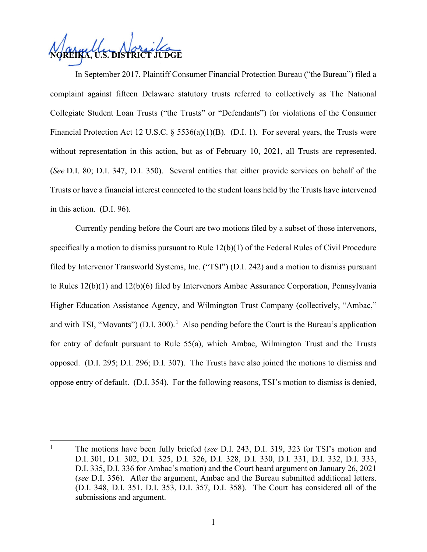**U.S. DISTRICT JUDGE** 

In September 2017, Plaintiff Consumer Financial Protection Bureau ("the Bureau") filed a complaint against fifteen Delaware statutory trusts referred to collectively as The National Collegiate Student Loan Trusts ("the Trusts" or "Defendants") for violations of the Consumer Financial Protection Act 12 U.S.C. § 5536(a)(1)(B). (D.I. 1). For several years, the Trusts were without representation in this action, but as of February 10, 2021, all Trusts are represented. (*See* D.I. 80; D.I. 347, D.I. 350). Several entities that either provide services on behalf of the Trusts or have a financial interest connected to the student loans held by the Trusts have intervened in this action. (D.I. 96).

Currently pending before the Court are two motions filed by a subset of those intervenors, specifically a motion to dismiss pursuant to Rule 12(b)(1) of the Federal Rules of Civil Procedure filed by Intervenor Transworld Systems, Inc. ("TSI") (D.I. 242) and a motion to dismiss pursuant to Rules 12(b)(1) and 12(b)(6) filed by Intervenors Ambac Assurance Corporation, Pennsylvania Higher Education Assistance Agency, and Wilmington Trust Company (collectively, "Ambac," and with TSI, "Movants") (D.I. 300).<sup>[1](#page-1-0)</sup> Also pending before the Court is the Bureau's application for entry of default pursuant to Rule 55(a), which Ambac, Wilmington Trust and the Trusts opposed. (D.I. 295; D.I. 296; D.I. 307). The Trusts have also joined the motions to dismiss and oppose entry of default. (D.I. 354). For the following reasons, TSI's motion to dismiss is denied,

<span id="page-1-0"></span><sup>1</sup> The motions have been fully briefed (*see* D.I. 243, D.I. 319, 323 for TSI's motion and D.I. 301, D.I. 302, D.I. 325, D.I. 326, D.I. 328, D.I. 330, D.I. 331, D.I. 332, D.I. 333, D.I. 335, D.I. 336 for Ambac's motion) and the Court heard argument on January 26, 2021 (*see* D.I. 356). After the argument, Ambac and the Bureau submitted additional letters. (D.I. 348, D.I. 351, D.I. 353, D.I. 357, D.I. 358). The Court has considered all of the submissions and argument.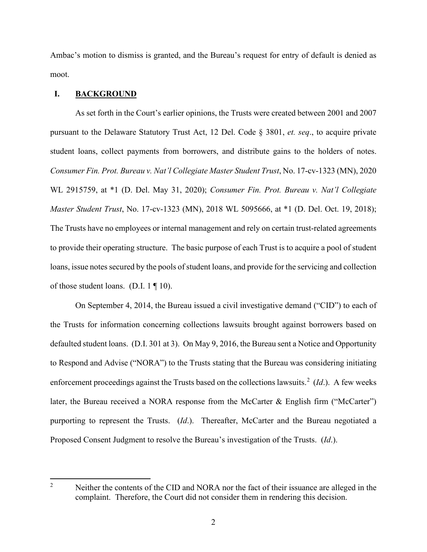Ambac's motion to dismiss is granted, and the Bureau's request for entry of default is denied as moot.

## **I. BACKGROUND**

As set forth in the Court's earlier opinions, the Trusts were created between 2001 and 2007 pursuant to the Delaware Statutory Trust Act, 12 Del. Code § 3801, *et. seq*., to acquire private student loans, collect payments from borrowers, and distribute gains to the holders of notes. *Consumer Fin. Prot. Bureau v. Nat'l Collegiate Master Student Trust*, No. 17-cv-1323 (MN), 2020 WL 2915759, at \*1 (D. Del. May 31, 2020); *Consumer Fin. Prot. Bureau v. Nat'l Collegiate Master Student Trust*, No. 17-cv-1323 (MN), 2018 WL 5095666, at \*1 (D. Del. Oct. 19, 2018); The Trusts have no employees or internal management and rely on certain trust-related agreements to provide their operating structure. The basic purpose of each Trust is to acquire a pool of student loans, issue notes secured by the pools of student loans, and provide for the servicing and collection of those student loans. (D.I. 1 ¶ 10).

On September 4, 2014, the Bureau issued a civil investigative demand ("CID") to each of the Trusts for information concerning collections lawsuits brought against borrowers based on defaulted student loans. (D.I. 301 at 3). On May 9, 2016, the Bureau sent a Notice and Opportunity to Respond and Advise ("NORA") to the Trusts stating that the Bureau was considering initiating enforcement proceedings against the Trusts based on the collections lawsuits.<sup>[2](#page-2-0)</sup> (*Id*.). A few weeks later, the Bureau received a NORA response from the McCarter & English firm ("McCarter") purporting to represent the Trusts. (*Id*.). Thereafter, McCarter and the Bureau negotiated a Proposed Consent Judgment to resolve the Bureau's investigation of the Trusts. (*Id*.).

<span id="page-2-0"></span><sup>2</sup> Neither the contents of the CID and NORA nor the fact of their issuance are alleged in the complaint. Therefore, the Court did not consider them in rendering this decision.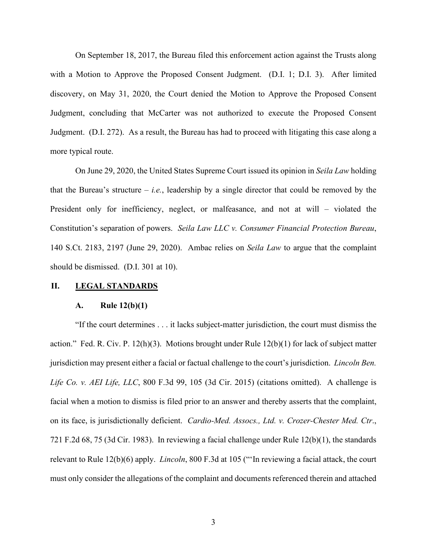On September 18, 2017, the Bureau filed this enforcement action against the Trusts along with a Motion to Approve the Proposed Consent Judgment. (D.I. 1; D.I. 3). After limited discovery, on May 31, 2020, the Court denied the Motion to Approve the Proposed Consent Judgment, concluding that McCarter was not authorized to execute the Proposed Consent Judgment. (D.I. 272). As a result, the Bureau has had to proceed with litigating this case along a more typical route.

On June 29, 2020, the United States Supreme Court issued its opinion in *Seila Law* holding that the Bureau's structure  $-$  *i.e.*, leadership by a single director that could be removed by the President only for inefficiency, neglect, or malfeasance, and not at will – violated the Constitution's separation of powers. *Seila Law LLC v. Consumer Financial Protection Bureau*, 140 S.Ct. 2183, 2197 (June 29, 2020). Ambac relies on *Seila Law* to argue that the complaint should be dismissed. (D.I. 301 at 10).

#### **II. LEGAL STANDARDS**

#### **A. Rule 12(b)(1)**

"If the court determines . . . it lacks subject-matter jurisdiction, the court must dismiss the action." Fed. R. Civ. P. 12(h)(3). Motions brought under Rule  $12(b)(1)$  for lack of subject matter jurisdiction may present either a facial or factual challenge to the court's jurisdiction. *Lincoln Ben. Life Co. v. AEI Life, LLC*, 800 F.3d 99, 105 (3d Cir. 2015) (citations omitted). A challenge is facial when a motion to dismiss is filed prior to an answer and thereby asserts that the complaint, on its face, is jurisdictionally deficient. *Cardio-Med. Assocs., Ltd. v. Crozer-Chester Med. Ctr*., 721 F.2d 68, 75 (3d Cir. 1983). In reviewing a facial challenge under Rule 12(b)(1), the standards relevant to Rule 12(b)(6) apply. *Lincoln*, 800 F.3d at 105 ("'In reviewing a facial attack, the court must only consider the allegations of the complaint and documents referenced therein and attached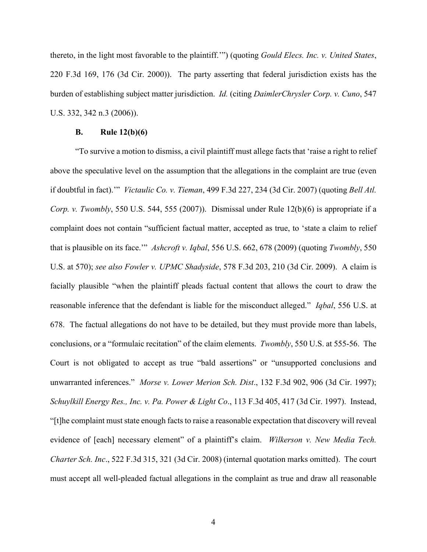thereto, in the light most favorable to the plaintiff.'") (quoting *Gould Elecs. Inc. v. United States*, 220 F.3d 169, 176 (3d Cir. 2000)). The party asserting that federal jurisdiction exists has the burden of establishing subject matter jurisdiction. *Id.* (citing *DaimlerChrysler Corp. v. Cuno*, 547 U.S. 332, 342 n.3 (2006)).

#### **B. Rule 12(b)(6)**

"To survive a motion to dismiss, a civil plaintiff must allege facts that 'raise a right to relief above the speculative level on the assumption that the allegations in the complaint are true (even if doubtful in fact).'" *Victaulic Co. v. Tieman*, 499 F.3d 227, 234 (3d Cir. 2007) (quoting *Bell Atl. Corp. v. Twombly*, 550 U.S. 544, 555 (2007)). Dismissal under Rule 12(b)(6) is appropriate if a complaint does not contain "sufficient factual matter, accepted as true, to 'state a claim to relief that is plausible on its face.'" *Ashcroft v. Iqbal*, 556 U.S. 662, 678 (2009) (quoting *Twombly*, 550 U.S. at 570); *see also Fowler v. UPMC Shadyside*, 578 F.3d 203, 210 (3d Cir. 2009). A claim is facially plausible "when the plaintiff pleads factual content that allows the court to draw the reasonable inference that the defendant is liable for the misconduct alleged." *Iqbal*, 556 U.S. at 678. The factual allegations do not have to be detailed, but they must provide more than labels, conclusions, or a "formulaic recitation" of the claim elements. *Twombly*, 550 U.S. at 555-56. The Court is not obligated to accept as true "bald assertions" or "unsupported conclusions and unwarranted inferences." *Morse v. Lower Merion Sch. Dist*., 132 F.3d 902, 906 (3d Cir. 1997); *Schuylkill Energy Res., Inc. v. Pa. Power & Light Co*., 113 F.3d 405, 417 (3d Cir. 1997). Instead, "[t]he complaint must state enough facts to raise a reasonable expectation that discovery will reveal evidence of [each] necessary element" of a plaintiff's claim. *Wilkerson v. New Media Tech. Charter Sch. Inc*., 522 F.3d 315, 321 (3d Cir. 2008) (internal quotation marks omitted). The court must accept all well-pleaded factual allegations in the complaint as true and draw all reasonable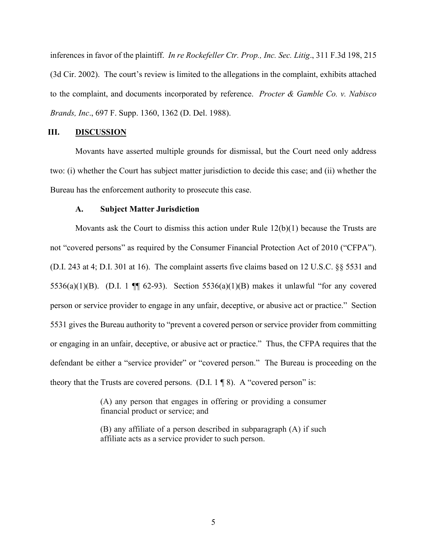inferences in favor of the plaintiff. *In re Rockefeller Ctr. Prop., Inc. Sec. Litig*., 311 F.3d 198, 215 (3d Cir. 2002). The court's review is limited to the allegations in the complaint, exhibits attached to the complaint, and documents incorporated by reference. *Procter & Gamble Co. v. Nabisco Brands, Inc*., 697 F. Supp. 1360, 1362 (D. Del. 1988).

## **III. DISCUSSION**

Movants have asserted multiple grounds for dismissal, but the Court need only address two: (i) whether the Court has subject matter jurisdiction to decide this case; and (ii) whether the Bureau has the enforcement authority to prosecute this case.

## **A. Subject Matter Jurisdiction**

Movants ask the Court to dismiss this action under Rule 12(b)(1) because the Trusts are not "covered persons" as required by the Consumer Financial Protection Act of 2010 ("CFPA"). (D.I. 243 at 4; D.I. 301 at 16). The complaint asserts five claims based on 12 U.S.C. §§ 5531 and 5536(a)(1)(B). (D.I. 1  $\P$  62-93). Section 5536(a)(1)(B) makes it unlawful "for any covered person or service provider to engage in any unfair, deceptive, or abusive act or practice." Section 5531 gives the Bureau authority to "prevent a covered person or service provider from committing or engaging in an unfair, deceptive, or abusive act or practice." Thus, the CFPA requires that the defendant be either a "service provider" or "covered person." The Bureau is proceeding on the theory that the Trusts are covered persons. (D.I.  $1 \nvert 8$ ). A "covered person" is:

> (A) any person that engages in offering or providing a consumer financial product or service; and

> (B) any affiliate of a person described in subparagraph (A) if such affiliate acts as a service provider to such person.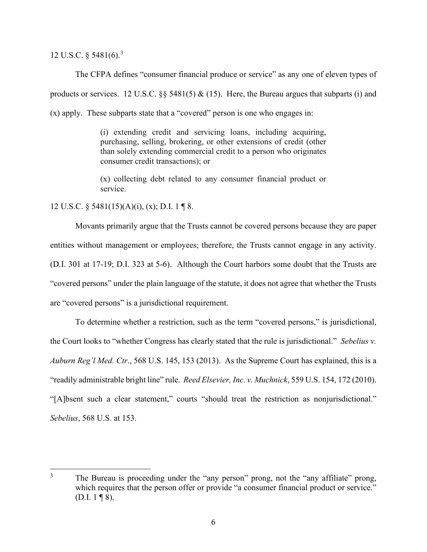12 U.S.C. § 5481(6). [3](#page-6-0)

The CFPA defines "consumer financial produce or service" as any one of eleven types of products or services. 12 U.S.C.  $\S$  5481(5) & (15). Here, the Bureau argues that subparts (i) and (x) apply. These subparts state that a "covered" person is one who engages in:

> (i) extending credit and servicing loans, including acquiring, purchasing, selling, brokering, or other extensions of credit (other than solely extending commercial credit to a person who originates consumer credit transactions); or

> (x) collecting debt related to any consumer financial product or service.

12 U.S.C. § 5481(15)(A)(i), (x); D.I. 1 ¶ 8.

Movants primarily argue that the Trusts cannot be covered persons because they are paper entities without management or employees; therefore, the Trusts cannot engage in any activity. (D.I. 301 at 17-19; D.I. 323 at 5-6). Although the Court harbors some doubt that the Trusts are "covered persons" under the plain language of the statute, it does not agree that whether the Trusts are "covered persons" is a jurisdictional requirement.

To determine whether a restriction, such as the term "covered persons," is jurisdictional, the Court looks to "whether Congress has clearly stated that the rule is jurisdictional." *Sebelius v. Auburn Reg'l Med. Ctr*., 568 U.S. 145, 153 (2013). As the Supreme Court has explained, this is a "readily administrable bright line" rule. *Reed Elsevier, Inc. v. Muchnick*, 559 U.S. 154, 172 (2010). "[A]bsent such a clear statement," courts "should treat the restriction as nonjurisdictional." *Sebelius*, 568 U.S. at 153.

<span id="page-6-0"></span><sup>&</sup>lt;sup>3</sup> The Bureau is proceeding under the "any person" prong, not the "any affiliate" prong, which requires that the person offer or provide "a consumer financial product or service." (D.I.  $1 \nvert 8$ ).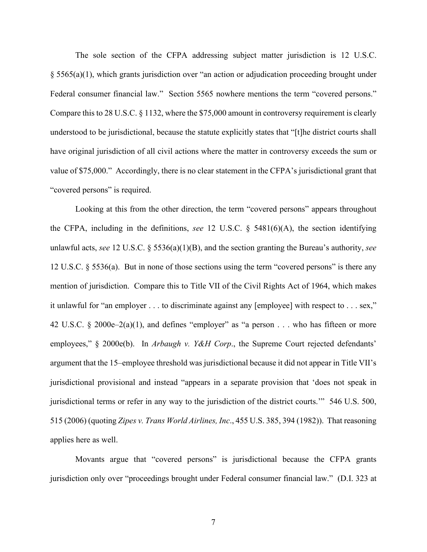The sole section of the CFPA addressing subject matter jurisdiction is 12 U.S.C. § 5565(a)(1), which grants jurisdiction over "an action or adjudication proceeding brought under Federal consumer financial law." Section 5565 nowhere mentions the term "covered persons." Compare this to 28 U.S.C. § 1132, where the \$75,000 amount in controversy requirement is clearly understood to be jurisdictional, because the statute explicitly states that "[t]he district courts shall have original jurisdiction of all civil actions where the matter in controversy exceeds the sum or value of \$75,000." Accordingly, there is no clear statement in the CFPA's jurisdictional grant that "covered persons" is required.

Looking at this from the other direction, the term "covered persons" appears throughout the CFPA, including in the definitions, *see* 12 U.S.C. § 5481(6)(A), the section identifying unlawful acts, *see* 12 U.S.C. § 5536(a)(1)(B), and the section granting the Bureau's authority, *see* 12 U.S.C. § 5536(a). But in none of those sections using the term "covered persons" is there any mention of jurisdiction. Compare this to Title VII of the Civil Rights Act of 1964, which makes it unlawful for "an employer . . . to discriminate against any [employee] with respect to . . . sex," 42 U.S.C. § 2000e–2(a)(1), and defines "employer" as "a person . . . who has fifteen or more employees," § 2000e(b). In *Arbaugh v. Y&H Corp*., the Supreme Court rejected defendants' argument that the 15–employee threshold was jurisdictional because it did not appear in Title VII's jurisdictional provisional and instead "appears in a separate provision that 'does not speak in jurisdictional terms or refer in any way to the jurisdiction of the district courts.'" 546 U.S. 500, 515 (2006) (quoting *Zipes v. Trans World Airlines, Inc*., 455 U.S. 385, 394 (1982)). That reasoning applies here as well.

Movants argue that "covered persons" is jurisdictional because the CFPA grants jurisdiction only over "proceedings brought under Federal consumer financial law." (D.I. 323 at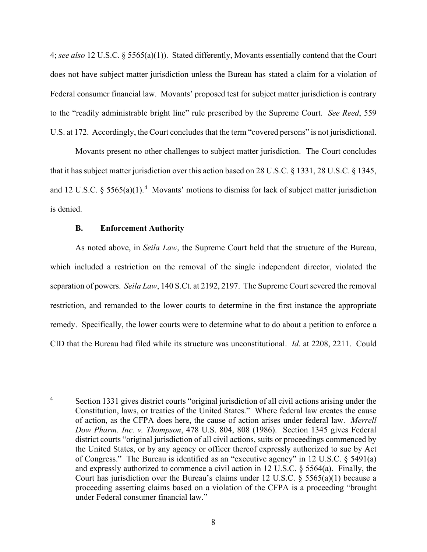4; *see also* 12 U.S.C. § 5565(a)(1)). Stated differently, Movants essentially contend that the Court does not have subject matter jurisdiction unless the Bureau has stated a claim for a violation of Federal consumer financial law. Movants' proposed test for subject matter jurisdiction is contrary to the "readily administrable bright line" rule prescribed by the Supreme Court. *See Reed*, 559 U.S. at 172. Accordingly, the Court concludes that the term "covered persons" is not jurisdictional.

Movants present no other challenges to subject matter jurisdiction. The Court concludes that it has subject matter jurisdiction over this action based on 28 U.S.C. § 1331, 28 U.S.C. § 1345, and 12 U.S.C. § 5565(a)(1).<sup>[4](#page-8-0)</sup> Movants' motions to dismiss for lack of subject matter jurisdiction is denied.

## **B. Enforcement Authority**

As noted above, in *Seila Law*, the Supreme Court held that the structure of the Bureau, which included a restriction on the removal of the single independent director, violated the separation of powers. *Seila Law*, 140 S.Ct. at 2192, 2197. The Supreme Court severed the removal restriction, and remanded to the lower courts to determine in the first instance the appropriate remedy. Specifically, the lower courts were to determine what to do about a petition to enforce a CID that the Bureau had filed while its structure was unconstitutional. *Id*. at 2208, 2211. Could

<span id="page-8-0"></span><sup>&</sup>lt;sup>4</sup> Section 1331 gives district courts "original jurisdiction of all civil actions arising under the Constitution, laws, or treaties of the United States." Where federal law creates the cause of action, as the CFPA does here, the cause of action arises under federal law. *Merrell Dow Pharm. Inc. v. Thompson*, 478 U.S. 804, 808 (1986). Section 1345 gives Federal district courts "original jurisdiction of all civil actions, suits or proceedings commenced by the United States, or by any agency or officer thereof expressly authorized to sue by Act of Congress." The Bureau is identified as an "executive agency" in 12 U.S.C. § 5491(a) and expressly authorized to commence a civil action in 12 U.S.C. § 5564(a). Finally, the Court has jurisdiction over the Bureau's claims under 12 U.S.C.  $\S$  5565(a)(1) because a proceeding asserting claims based on a violation of the CFPA is a proceeding "brought under Federal consumer financial law."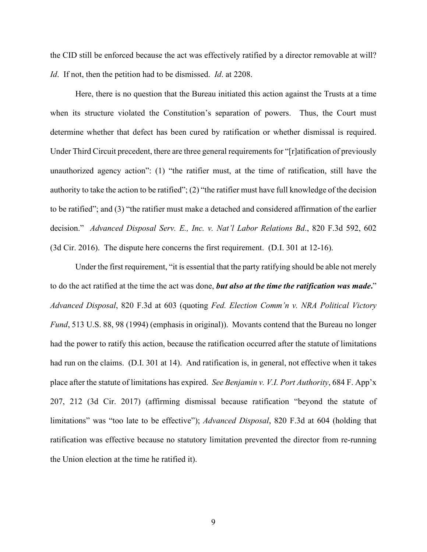the CID still be enforced because the act was effectively ratified by a director removable at will? *Id*. If not, then the petition had to be dismissed. *Id*. at 2208.

Here, there is no question that the Bureau initiated this action against the Trusts at a time when its structure violated the Constitution's separation of powers. Thus, the Court must determine whether that defect has been cured by ratification or whether dismissal is required. Under Third Circuit precedent, there are three general requirements for "[r]atification of previously unauthorized agency action": (1) "the ratifier must, at the time of ratification, still have the authority to take the action to be ratified"; (2) "the ratifier must have full knowledge of the decision to be ratified"; and (3) "the ratifier must make a detached and considered affirmation of the earlier decision." *Advanced Disposal Serv. E., Inc. v. Nat'l Labor Relations Bd*., 820 F.3d 592, 602 (3d Cir. 2016). The dispute here concerns the first requirement. (D.I. 301 at 12-16).

Under the first requirement, "it is essential that the party ratifying should be able not merely to do the act ratified at the time the act was done, *but also at the time the ratification was made***.**" *Advanced Disposal*, 820 F.3d at 603 (quoting *Fed. Election Comm'n v. NRA Political Victory Fund*, 513 U.S. 88, 98 (1994) (emphasis in original)). Movants contend that the Bureau no longer had the power to ratify this action, because the ratification occurred after the statute of limitations had run on the claims. (D.I. 301 at 14). And ratification is, in general, not effective when it takes place after the statute of limitations has expired. *See Benjamin v. V.I. Port Authority*, 684 F. App'x 207, 212 (3d Cir. 2017) (affirming dismissal because ratification "beyond the statute of limitations" was "too late to be effective"); *Advanced Disposal*, 820 F.3d at 604 (holding that ratification was effective because no statutory limitation prevented the director from re-running the Union election at the time he ratified it).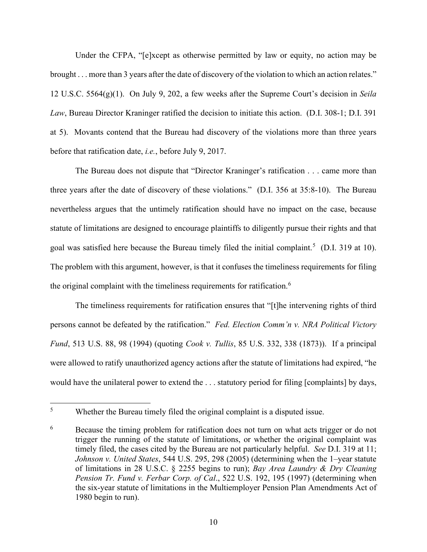Under the CFPA, "[e]xcept as otherwise permitted by law or equity, no action may be brought . . . more than 3 years after the date of discovery of the violation to which an action relates." 12 U.S.C. 5564(g)(1). On July 9, 202, a few weeks after the Supreme Court's decision in *Seila Law*, Bureau Director Kraninger ratified the decision to initiate this action. (D.I. 308-1; D.I. 391 at 5). Movants contend that the Bureau had discovery of the violations more than three years before that ratification date, *i.e.*, before July 9, 2017.

The Bureau does not dispute that "Director Kraninger's ratification . . . came more than three years after the date of discovery of these violations." (D.I. 356 at 35:8-10). The Bureau nevertheless argues that the untimely ratification should have no impact on the case, because statute of limitations are designed to encourage plaintiffs to diligently pursue their rights and that goal was satisfied here because the Bureau timely filed the initial complaint.<sup>[5](#page-10-0)</sup> (D.I. 319 at 10). The problem with this argument, however, is that it confuses the timeliness requirements for filing the original complaint with the timeliness requirements for ratification.<sup>[6](#page-10-1)</sup>

The timeliness requirements for ratification ensures that "[t]he intervening rights of third persons cannot be defeated by the ratification." *Fed. Election Comm'n v. NRA Political Victory Fund*, 513 U.S. 88, 98 (1994) (quoting *Cook v. Tullis*, 85 U.S. 332, 338 (1873)). If a principal were allowed to ratify unauthorized agency actions after the statute of limitations had expired, "he would have the unilateral power to extend the . . . statutory period for filing [complaints] by days,

<span id="page-10-0"></span><sup>&</sup>lt;sup>5</sup> Whether the Bureau timely filed the original complaint is a disputed issue.

<span id="page-10-1"></span><sup>&</sup>lt;sup>6</sup> Because the timing problem for ratification does not turn on what acts trigger or do not trigger the running of the statute of limitations, or whether the original complaint was timely filed, the cases cited by the Bureau are not particularly helpful. *See* D.I. 319 at 11; *Johnson v. United States*, 544 U.S. 295, 298 (2005) (determining when the 1–year statute of limitations in 28 U.S.C. § 2255 begins to run); *Bay Area Laundry & Dry Cleaning Pension Tr. Fund v. Ferbar Corp. of Cal*., 522 U.S. 192, 195 (1997) (determining when the six-year statute of limitations in the Multiemployer Pension Plan Amendments Act of 1980 begin to run).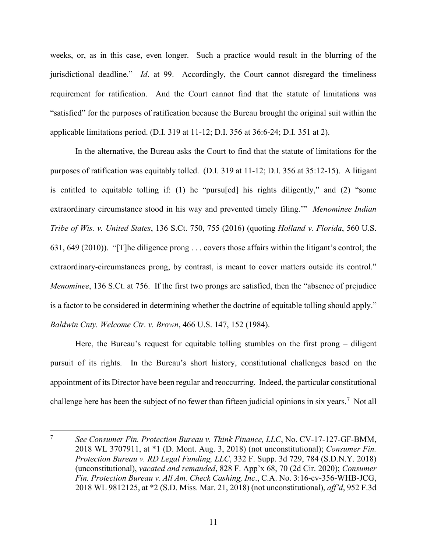weeks, or, as in this case, even longer. Such a practice would result in the blurring of the jurisdictional deadline." *Id*. at 99. Accordingly, the Court cannot disregard the timeliness requirement for ratification. And the Court cannot find that the statute of limitations was "satisfied" for the purposes of ratification because the Bureau brought the original suit within the applicable limitations period. (D.I. 319 at 11-12; D.I. 356 at 36:6-24; D.I. 351 at 2).

In the alternative, the Bureau asks the Court to find that the statute of limitations for the purposes of ratification was equitably tolled. (D.I. 319 at 11-12; D.I. 356 at 35:12-15). A litigant is entitled to equitable tolling if: (1) he "pursu[ed] his rights diligently," and (2) "some extraordinary circumstance stood in his way and prevented timely filing.'" *Menominee Indian Tribe of Wis. v. United States*, 136 S.Ct. 750, 755 (2016) (quoting *Holland v. Florida*, 560 U.S. 631, 649 (2010)). "[T]he diligence prong . . . covers those affairs within the litigant's control; the extraordinary-circumstances prong, by contrast, is meant to cover matters outside its control." *Menominee*, 136 S.Ct. at 756. If the first two prongs are satisfied, then the "absence of prejudice is a factor to be considered in determining whether the doctrine of equitable tolling should apply." *Baldwin Cnty. Welcome Ctr. v. Brown*, 466 U.S. 147, 152 (1984).

Here, the Bureau's request for equitable tolling stumbles on the first prong – diligent pursuit of its rights. In the Bureau's short history, constitutional challenges based on the appointment of its Director have been regular and reoccurring. Indeed, the particular constitutional challenge here has been the subject of no fewer than fifteen judicial opinions in six years.<sup>[7](#page-11-0)</sup> Not all

<span id="page-11-0"></span><sup>7</sup> *See Consumer Fin. Protection Bureau v. Think Finance, LLC*, No. CV-17-127-GF-BMM, 2018 WL 3707911, at \*1 (D. Mont. Aug. 3, 2018) (not unconstitutional); *Consumer Fin. Protection Bureau v. RD Legal Funding, LLC*, 332 F. Supp. 3d 729, 784 (S.D.N.Y. 2018) (unconstitutional), *vacated and remanded*, 828 F. App'x 68, 70 (2d Cir. 2020); *Consumer Fin. Protection Bureau v. All Am. Check Cashing, Inc*., C.A. No. 3:16-cv-356-WHB-JCG, 2018 WL 9812125, at \*2 (S.D. Miss. Mar. 21, 2018) (not unconstitutional), *aff'd*, 952 F.3d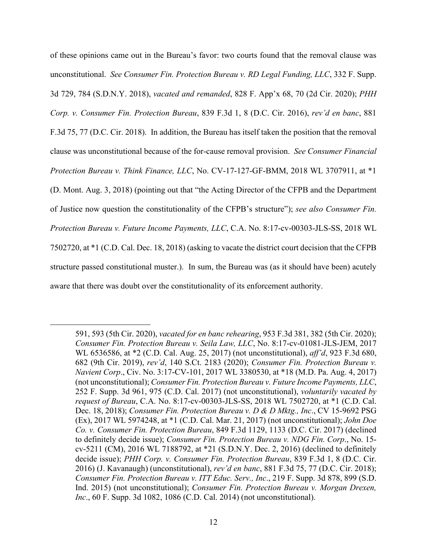of these opinions came out in the Bureau's favor: two courts found that the removal clause was unconstitutional. *See Consumer Fin. Protection Bureau v. RD Legal Funding, LLC*, 332 F. Supp. 3d 729, 784 (S.D.N.Y. 2018), *vacated and remanded*, 828 F. App'x 68, 70 (2d Cir. 2020); *PHH Corp. v. Consumer Fin. Protection Bureau*, 839 F.3d 1, 8 (D.C. Cir. 2016), *rev'd en banc*, 881 F.3d 75, 77 (D.C. Cir. 2018). In addition, the Bureau has itself taken the position that the removal clause was unconstitutional because of the for-cause removal provision. *See Consumer Financial Protection Bureau v. Think Finance, LLC*, No. CV-17-127-GF-BMM, 2018 WL 3707911, at \*1 (D. Mont. Aug. 3, 2018) (pointing out that "the Acting Director of the CFPB and the Department of Justice now question the constitutionality of the CFPB's structure"); *see also Consumer Fin. Protection Bureau v. Future Income Payments, LLC*, C.A. No. 8:17-cv-00303-JLS-SS, 2018 WL 7502720, at \*1 (C.D. Cal. Dec. 18, 2018) (asking to vacate the district court decision that the CFPB structure passed constitutional muster.). In sum, the Bureau was (as it should have been) acutely aware that there was doubt over the constitutionality of its enforcement authority.

<sup>591, 593 (5</sup>th Cir. 2020), *vacated for en banc rehearing*, 953 F.3d 381, 382 (5th Cir. 2020); *Consumer Fin. Protection Bureau v. Seila Law, LLC*, No. 8:17-cv-01081-JLS-JEM, 2017 WL 6536586, at \*2 (C.D. Cal. Aug. 25, 2017) (not unconstitutional), *aff'd*, 923 F.3d 680, 682 (9th Cir. 2019), *rev'd*, 140 S.Ct. 2183 (2020); *Consumer Fin. Protection Bureau v. Navient Corp*., Civ. No. 3:17-CV-101, 2017 WL 3380530, at \*18 (M.D. Pa. Aug. 4, 2017) (not unconstitutional); *Consumer Fin. Protection Bureau v. Future Income Payments, LLC*, 252 F. Supp. 3d 961, 975 (C.D. Cal. 2017) (not unconstitutional), *voluntarily vacated by request of Bureau*, C.A. No. 8:17-cv-00303-JLS-SS, 2018 WL 7502720, at \*1 (C.D. Cal. Dec. 18, 2018); *Consumer Fin. Protection Bureau v. D & D Mktg., Inc*., CV 15-9692 PSG (Ex), 2017 WL 5974248, at \*1 (C.D. Cal. Mar. 21, 2017) (not unconstitutional); *John Doe Co. v. Consumer Fin. Protection Bureau*, 849 F.3d 1129, 1133 (D.C. Cir. 2017) (declined to definitely decide issue); *Consumer Fin. Protection Bureau v. NDG Fin. Corp*., No. 15 cv-5211 (CM), 2016 WL 7188792, at \*21 (S.D.N.Y. Dec. 2, 2016) (declined to definitely decide issue); *PHH Corp. v. Consumer Fin. Protection Bureau*, 839 F.3d 1, 8 (D.C. Cir. 2016) (J. Kavanaugh) (unconstitutional), *rev'd en banc*, 881 F.3d 75, 77 (D.C. Cir. 2018); *Consumer Fin. Protection Bureau v. ITT Educ. Serv., Inc*., 219 F. Supp. 3d 878, 899 (S.D. Ind. 2015) (not unconstitutional); *Consumer Fin. Protection Bureau v. Morgan Drexen, Inc*., 60 F. Supp. 3d 1082, 1086 (C.D. Cal. 2014) (not unconstitutional).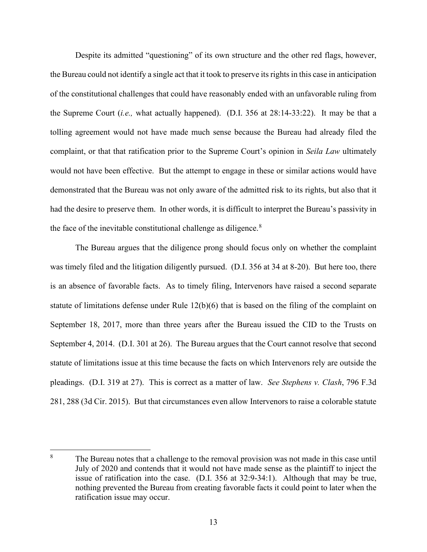Despite its admitted "questioning" of its own structure and the other red flags, however, the Bureau could not identify a single act that it took to preserve its rights in this case in anticipation of the constitutional challenges that could have reasonably ended with an unfavorable ruling from the Supreme Court (*i.e.,* what actually happened). (D.I. 356 at 28:14-33:22). It may be that a tolling agreement would not have made much sense because the Bureau had already filed the complaint, or that that ratification prior to the Supreme Court's opinion in *Seila Law* ultimately would not have been effective. But the attempt to engage in these or similar actions would have demonstrated that the Bureau was not only aware of the admitted risk to its rights, but also that it had the desire to preserve them. In other words, it is difficult to interpret the Bureau's passivity in the face of the inevitable constitutional challenge as diligence. $8$ 

The Bureau argues that the diligence prong should focus only on whether the complaint was timely filed and the litigation diligently pursued. (D.I. 356 at 34 at 8-20). But here too, there is an absence of favorable facts. As to timely filing, Intervenors have raised a second separate statute of limitations defense under Rule 12(b)(6) that is based on the filing of the complaint on September 18, 2017, more than three years after the Bureau issued the CID to the Trusts on September 4, 2014. (D.I. 301 at 26). The Bureau argues that the Court cannot resolve that second statute of limitations issue at this time because the facts on which Intervenors rely are outside the pleadings. (D.I. 319 at 27). This is correct as a matter of law. *See Stephens v. Clash*, 796 F.3d 281, 288 (3d Cir. 2015). But that circumstances even allow Intervenors to raise a colorable statute

<span id="page-13-0"></span><sup>&</sup>lt;sup>8</sup> The Bureau notes that a challenge to the removal provision was not made in this case until July of 2020 and contends that it would not have made sense as the plaintiff to inject the issue of ratification into the case. (D.I. 356 at 32:9-34:1). Although that may be true, nothing prevented the Bureau from creating favorable facts it could point to later when the ratification issue may occur.